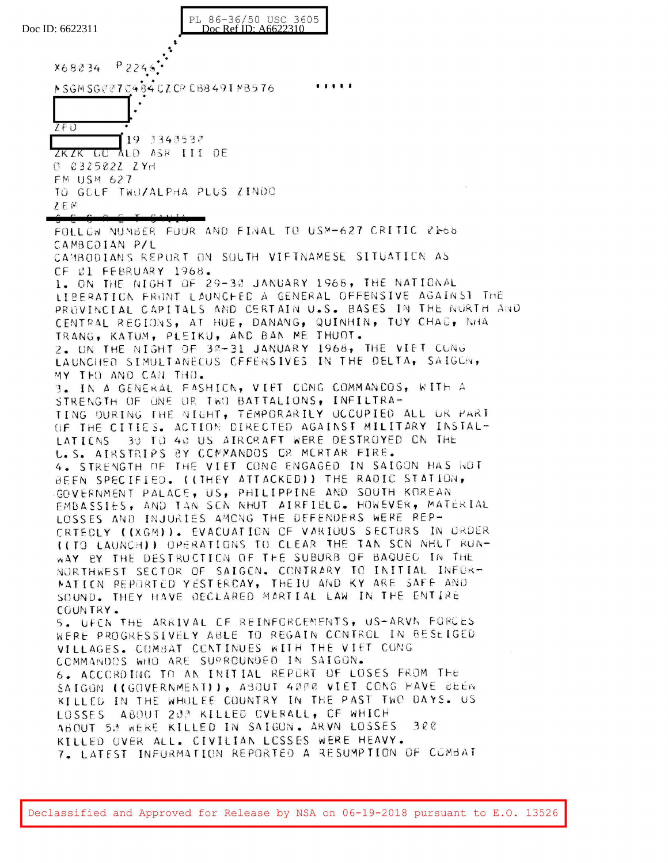PL 86-36/50 USC 3605 Doc Ref ID: A6622310 Doc ID: 6622311  $P$  224.6 X68234 NSGMSG@@70484CZCRCB849TNB576  $\bullet$  $ZFD$ 19 3343533 ZKZK GO ALD ASR III DE  $0.0325022$   $2$  YH FM USM 627 TO GELF TWO/ALPHA PLUS ZINDO  $ZEN$ FOLLOW NUMBER FUUR AND FINAL TO USM-627 CRITIC RE66 CAMBCDIAN P/L CAMBODIANS REPURT ON SOUTH VIFTNAMESE SITUATION AS CF Øl FEBRUARY 1968. 1. ON THE NIGHT OF 29-30 JANUARY 1968, THE NATIONAL LIBERATION FRONT LAUNCHED A GENERAL OFFENSIVE AGAINS1 THE PROVINCIAL CAPITALS AND CERTAIN U.S. BASES IN THE NURTH AND CENTRAL REGIONS, AT HUE, DANANG, QUINHIN, TUY CHAG, NHA TRANG, KATUM, PLEIKU, AND BAN ME THUOT. 2. ON THE NIGHT OF 30-31 JANUARY 1968, THE VIET CUNG LAUNCHED SIMULTANECUS CFFENSIVES IN THE DELTA, SAIGUN, MY THO AND CAN THO. 3. IN A GENERAL FASHICN, VIET CONG COMMANDOS, WITH A STRENGTH OF ONE OR TWO BATTALIONS, INFILTRA-TING DURING THE NIGHT, TEMPORARILY OCCUPIED ALL UR PART OF THE CITIES. ACTION DIRECTED AGAINST MILITARY INSTAL-30 TO 40 US AIRCRAFT WERE DESTROYED ON THE **IATTENS** U.S. AIRSTRIPS BY COMMANDOS OR MORTAR FIRE. 4. STRENGTH OF THE VIET CONG ENGAGED IN SAIGON HAS NOT BEEN SPECIFIED. ((THEY ATTACKED)) THE RADIC STATION, GOVERNMENT PALACE, US, PHILIPPINE AND SOUTH KOREAN EMBASSIES, AND TAN SEN NHUT AIRFIELD. HOWEVER, MATERIAL LOSSES AND INJURIES AMONG THE DEFENDERS WERE REP-CRTEDLY ((XGM)). EVACUATION OF VARIOUS SECTURS IN ORDER (ITO LAUNCHI) OPERATIONS TO CLEAR THE TAN SCN NELT RUN-WAY BY THE DESTRUCTION OF THE SUBURB OF BAQUEG IN THE NORTHWEST SECTOR OF SAIGEN. CONTRARY TO INITIAL INFOR-MATION REPORTED YESTERCAY, THEIU AND KY ARE SAFE AND SOUND. THEY HAVE DECLARED MARTIAL LAW IN THE ENTIRE COUNTRY. 5. UFCN THE ARRIVAL CF REINFORCEMENTS, US-ARVN FORCES WERE PROGRESSIVELY ABLE TO REGAIN CONTROL IN BESEIGED VILLAGES. COMBAT CONTINUES WITH THE VIET CONG COMMANDOS WHO ARE SUPROUNDED IN SAIGON. 6. ACCORDING TO AN INITIAL REPORT OF LOSES FROM THE SAIGON ((GOVERNMENT)), ABOUT 4000 VIET CONG HAVE BEEN KILLED IN THE WHOLEE COUNTRY IN THE PAST TWO DAYS. US LOSSES ABOUT 20P KILLED OVERALL, OF WHICH  $300$ ABOUT 50 WERE KILLED IN SAIGON. ARVN LOSSES KILLED OVER ALL. CIVILIAN LCSSES WERE HEAVY. 7. LATEST INFURMATION REPORTED A RESUMPTION OF COMBAT